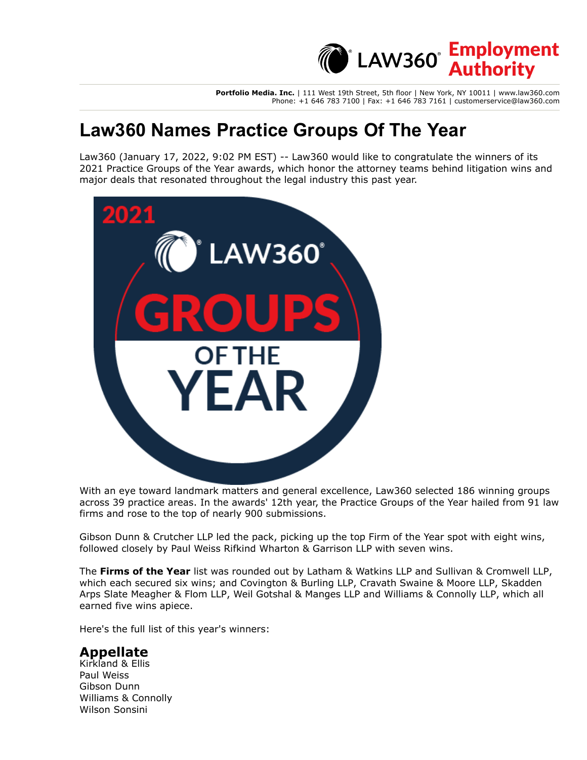**Portfolio Media. Inc.** | 111 West 19th Street, 5th floor | New York, NY 10011 | www.law360.com Phone: +1 646 783 7100 | Fax: +1 646 783 7161 | customerservice@law360.com

**LAW360<sup></sup>** Employment

# **Law360 Names Practice Groups Of The Year**

Law360 (January 17, 2022, 9:02 PM EST) -- Law360 would like to congratulate the winners of its 2021 Practice Groups of the Year awards, which honor the attorney teams behind litigation wins and major deals that resonated throughout the legal industry this past year.



With an eye toward landmark matters and general excellence, Law360 selected 186 winning groups across 39 practice areas. In the awards' 12th year, the Practice Groups of the Year hailed from 91 law firms and rose to the top of nearly 900 submissions.

[Gibson Dunn & Crutcher LLP](https://www.law360.com/firms/gibson-dunn) led the pack, picking up the top Firm of the Year spot with eight wins, followed closely by [Paul Weiss Rifkind Wharton & Garrison LLP](https://www.law360.com/firms/paul-weiss) with seven wins.

The **[Firms of the Year](https://www.law360.com/articles/1446732)** list was rounded out by [Latham & Watkins LLP](https://www.law360.com/firms/latham-watkins) and [Sullivan & Cromwell LLP,](https://www.law360.com/firms/sullivan-cromwell) [which each secured six wins; and C](https://www.law360.com/firms/skadden-arps)[ovington & Burling LLP](https://www.law360.com/firms/covington-burling)[, C](https://www.law360.com/firms/skadden-arps)[ravath Swaine & Moore LL](https://www.law360.com/firms/cravath-swaine)[P, Skadden](https://www.law360.com/firms/skadden-arps) Arps Slate Meagher & Flom LLP, [Weil Gotshal & Manges LLP](https://www.law360.com/firms/weil-gotshal) and [Williams & Connolly LLP](https://www.law360.com/firms/williams-connolly), which all earned five wins apiece.

Here's the full list of this year's winners:

#### **Appellate**

Kirkland & Ellis Paul Weiss Gibson Dunn Williams & Connolly Wilson Sonsini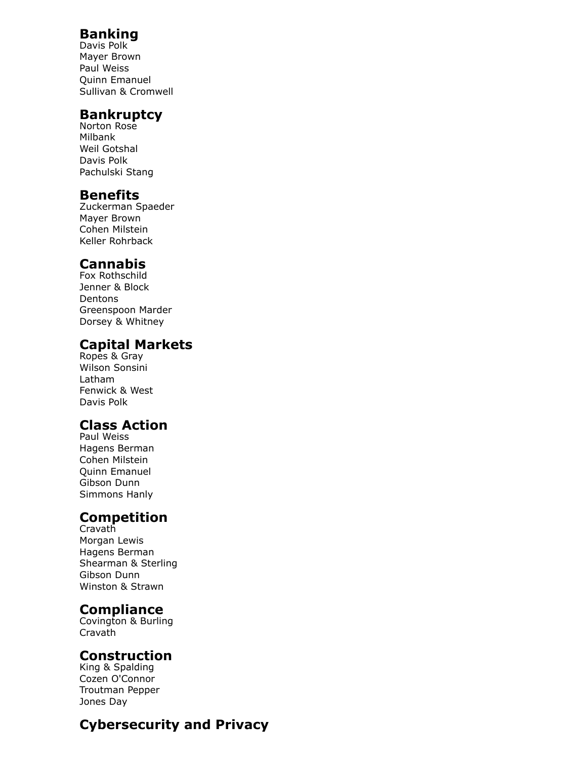### **Banking**

Davis Polk Mayer Brown Paul Weiss Quinn Emanuel Sullivan & Cromwell

#### **Bankruptcy**

Norton Rose Milbank Weil Gotshal Davis Polk Pachulski Stang

#### **Benefits**

Zuckerman Spaeder Mayer Brown Cohen Milstein Keller Rohrback

### **Cannabis**

Fox Rothschild Jenner & Block Dentons Greenspoon Marder Dorsey & Whitney

### **Capital Markets**

Ropes & Gray Wilson Sonsini Latham Fenwick & West Davis Polk

### **Class Action**

Paul Weiss Hagens Berman Cohen Milstein Quinn Emanuel Gibson Dunn Simmons Hanly

## **Competition**

Cravath Morgan Lewis Hagens Berman Shearman & Sterling Gibson Dunn Winston & Strawn

### **Compliance**

Covington & Burling Cravath

### **Construction**

King & Spalding Cozen O'Connor Troutman Pepper Jones Day

## **Cybersecurity and Privacy**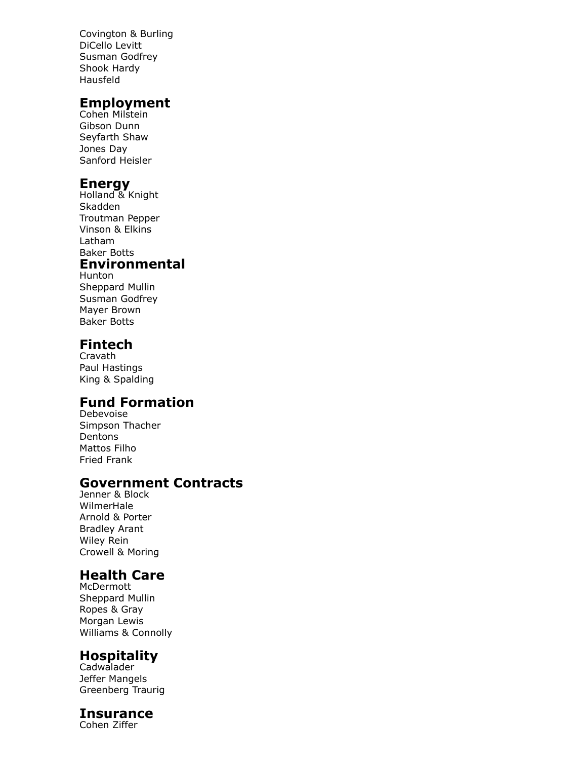Covington & Burling DiCello Levitt Susman Godfrey Shook Hardy Hausfeld

#### **Employment**

Cohen Milstein Gibson Dunn Seyfarth Shaw Jones Day Sanford Heisler

### **Energy**

- Holland & Knight Skadden Troutman Pepper Vinson & Elkins Latham Baker Botts **Environmental**
- Hunton Sheppard Mullin Susman Godfrey Mayer Brown Baker Botts

### **Fintech**

Cravath Paul Hastings King & Spalding

# **Fund Formation**

Debevoise Simpson Thacher Dentons Mattos Filho Fried Frank

### **Government Contracts**

Jenner & Block WilmerHale Arnold & Porter Bradley Arant Wiley Rein Crowell & Moring

# **Health Care**

McDermott Sheppard Mullin Ropes & Gray Morgan Lewis Williams & Connolly

### **Hospitality**

Cadwalader Jeffer Mangels Greenberg Traurig

#### **Insurance**

Cohen Ziffer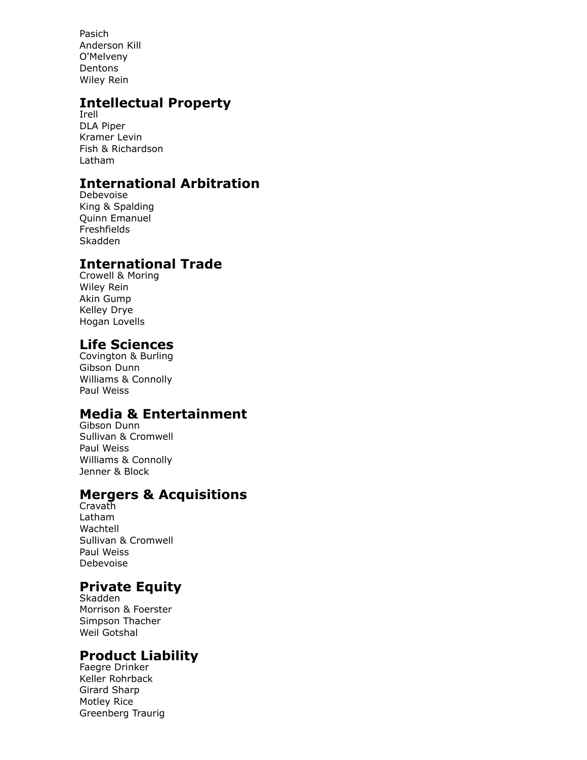Pasich Anderson Kill O'Melveny Dentons Wiley Rein

## **Intellectual Property**

Irell DLA Piper Kramer Levin Fish & Richardson Latham

# **International Arbitration**

Debevoise King & Spalding Quinn Emanuel Freshfields Skadden

## **International Trade**

Crowell & Moring Wiley Rein Akin Gump Kelley Drye Hogan Lovells

### **Life Sciences**

Covington & Burling Gibson Dunn Williams & Connolly Paul Weiss

### **Media & Entertainment**

Gibson Dunn Sullivan & Cromwell Paul Weiss Williams & Connolly Jenner & Block

## **Mergers & Acquisitions**

Cravath Latham Wachtell Sullivan & Cromwell Paul Weiss Debevoise

# **Private Equity**

Skadden Morrison & Foerster Simpson Thacher Weil Gotshal

## **Product Liability**

Faegre Drinker Keller Rohrback Girard Sharp Motley Rice Greenberg Traurig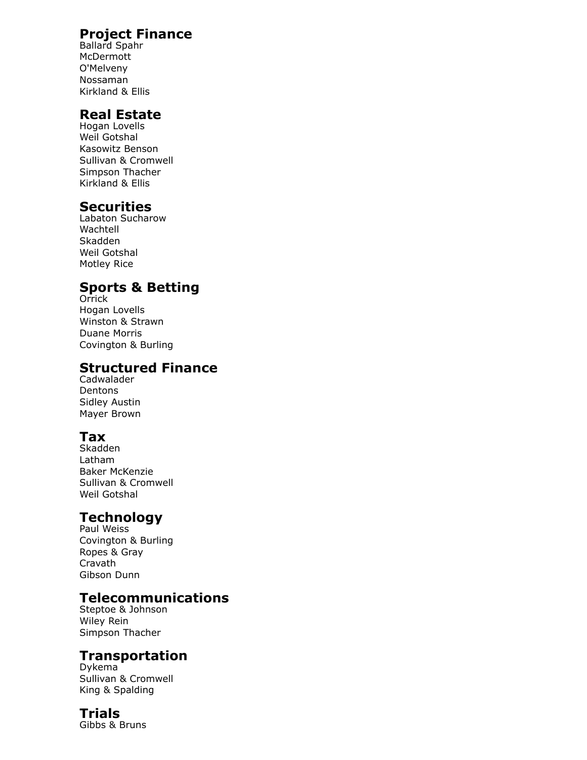### **Project Finance**

Ballard Spahr McDermott O'Melveny Nossaman Kirkland & Ellis

#### **Real Estate**

Hogan Lovells Weil Gotshal Kasowitz Benson Sullivan & Cromwell Simpson Thacher Kirkland & Ellis

#### **Securities**

Labaton Sucharow Wachtell Skadden Weil Gotshal Motley Rice

### **Sports & Betting**

**Orrick** Hogan Lovells Winston & Strawn Duane Morris Covington & Burling

#### **Structured Finance**

Cadwalader **Dentons** Sidley Austin Mayer Brown

## **Tax**

Skadden Latham Baker McKenzie Sullivan & Cromwell Weil Gotshal

## **Technology**

Paul Weiss Covington & Burling Ropes & Gray Cravath Gibson Dunn

### **Telecommunications**

Steptoe & Johnson Wiley Rein Simpson Thacher

## **Transportation**

Dykema Sullivan & Cromwell King & Spalding

#### **Trials**

Gibbs & Bruns